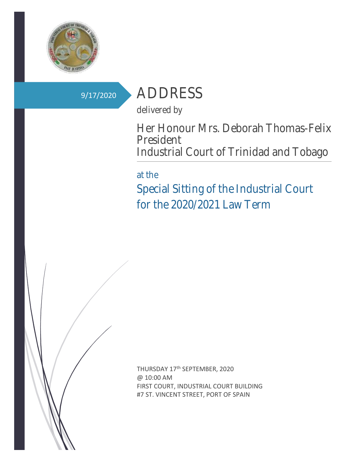

# 9/17/2020 ADDRESS

delivered by

Her Honour Mrs. Deborah Thomas-Felix President Industrial Court of Trinidad and Tobago

## at the

Special Sitting of the Industrial Court for the 2020/2021 Law Term



THURSDAY 17<sup>th</sup> SEPTEMBER, 2020 @ 10:00 AM FIRST COURT, INDUSTRIAL COURT BUILDING #7 ST. VINCENT STREET, PORT OF SPAIN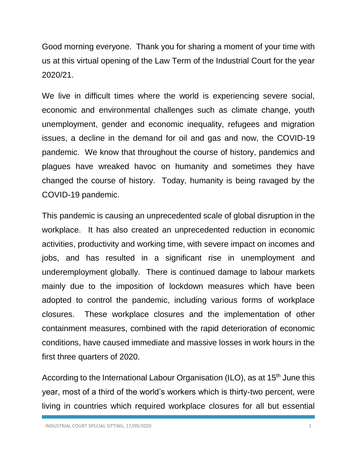Good morning everyone. Thank you for sharing a moment of your time with us at this virtual opening of the Law Term of the Industrial Court for the year 2020/21.

We live in difficult times where the world is experiencing severe social, economic and environmental challenges such as climate change, youth unemployment, gender and economic inequality, refugees and migration issues, a decline in the demand for oil and gas and now, the COVID-19 pandemic. We know that throughout the course of history, pandemics and plagues have wreaked havoc on humanity and sometimes they have changed the course of history. Today, humanity is being ravaged by the COVID-19 pandemic.

This pandemic is causing an unprecedented scale of global disruption in the workplace. It has also created an unprecedented reduction in economic activities, productivity and working time, with severe impact on incomes and jobs, and has resulted in a significant rise in unemployment and underemployment globally. There is continued damage to labour markets mainly due to the imposition of lockdown measures which have been adopted to control the pandemic, including various forms of workplace closures. These workplace closures and the implementation of other containment measures, combined with the rapid deterioration of economic conditions, have caused immediate and massive losses in work hours in the first three quarters of 2020.

According to the International Labour Organisation (ILO), as at 15<sup>th</sup> June this year, most of a third of the world's workers which is thirty-two percent, were living in countries which required workplace closures for all but essential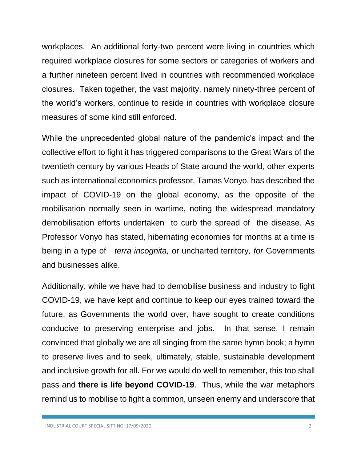workplaces. An additional forty-two percent were living in countries which required workplace closures for some sectors or categories of workers and a further nineteen percent lived in countries with recommended workplace closures. Taken together, the vast majority, namely ninety-three percent of the world's workers, continue to reside in countries with workplace closure measures of some kind still enforced.

While the unprecedented global nature of the pandemic's impact and the collective effort to fight it has triggered comparisons to the Great Wars of the twentieth century by various Heads of State around the world, other experts such as international economics professor, Tamas Vonyo, has described the impact of COVID-19 on the global economy, as the opposite of the mobilisation normally seen in wartime, noting the widespread mandatory demobilisation efforts undertaken to curb the spread of the disease. As Professor Vonyo has stated, hibernating economies for months at a time is being in a type of *terra incognita,* or uncharted territory*, for* Governments and businesses alike.

Additionally, while we have had to demobilise business and industry to fight COVID-19, we have kept and continue to keep our eyes trained toward the future, as Governments the world over, have sought to create conditions conducive to preserving enterprise and jobs. In that sense, I remain convinced that globally we are all singing from the same hymn book; a hymn to preserve lives and to seek, ultimately, stable, sustainable development and inclusive growth for all. For we would do well to remember, this too shall pass and **there is life beyond COVID-19**. Thus, while the war metaphors remind us to mobilise to fight a common, unseen enemy and underscore that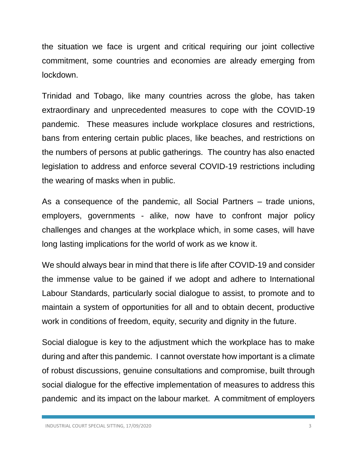the situation we face is urgent and critical requiring our joint collective commitment, some countries and economies are already emerging from lockdown.

Trinidad and Tobago, like many countries across the globe, has taken extraordinary and unprecedented measures to cope with the COVID-19 pandemic. These measures include workplace closures and restrictions, bans from entering certain public places, like beaches, and restrictions on the numbers of persons at public gatherings. The country has also enacted legislation to address and enforce several COVID-19 restrictions including the wearing of masks when in public.

As a consequence of the pandemic, all Social Partners – trade unions, employers, governments - alike, now have to confront major policy challenges and changes at the workplace which, in some cases, will have long lasting implications for the world of work as we know it.

We should always bear in mind that there is life after COVID-19 and consider the immense value to be gained if we adopt and adhere to International Labour Standards, particularly social dialogue to assist, to promote and to maintain a system of opportunities for all and to obtain decent, productive work in conditions of freedom, equity, security and dignity in the future.

Social dialogue is key to the adjustment which the workplace has to make during and after this pandemic. I cannot overstate how important is a climate of robust discussions, genuine consultations and compromise, built through social dialogue for the effective implementation of measures to address this pandemic and its impact on the labour market. A commitment of employers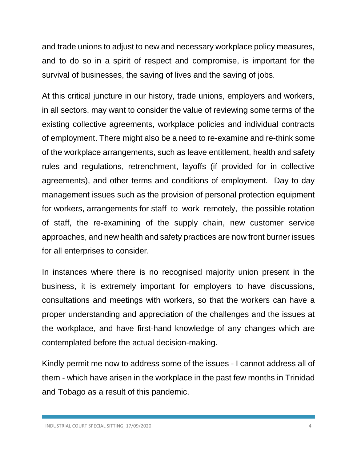and trade unions to adjust to new and necessary workplace policy measures, and to do so in a spirit of respect and compromise, is important for the survival of businesses, the saving of lives and the saving of jobs.

At this critical juncture in our history, trade unions, employers and workers, in all sectors, may want to consider the value of reviewing some terms of the existing collective agreements, workplace policies and individual contracts of employment. There might also be a need to re-examine and re-think some of the workplace arrangements, such as leave entitlement, health and safety rules and regulations, retrenchment, layoffs (if provided for in collective agreements), and other terms and conditions of employment. Day to day management issues such as the provision of personal protection equipment for workers, arrangements for staff to work remotely, the possible rotation of staff, the re-examining of the supply chain, new customer service approaches, and new health and safety practices are now front burner issues for all enterprises to consider.

In instances where there is no recognised majority union present in the business, it is extremely important for employers to have discussions, consultations and meetings with workers, so that the workers can have a proper understanding and appreciation of the challenges and the issues at the workplace, and have first-hand knowledge of any changes which are contemplated before the actual decision-making.

Kindly permit me now to address some of the issues - I cannot address all of them - which have arisen in the workplace in the past few months in Trinidad and Tobago as a result of this pandemic.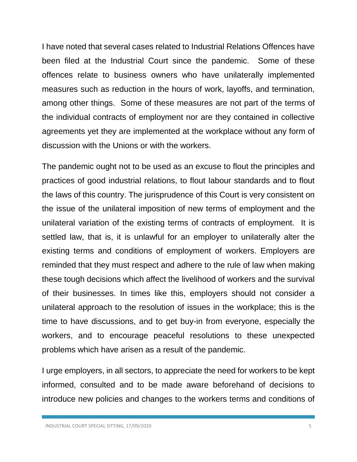I have noted that several cases related to Industrial Relations Offences have been filed at the Industrial Court since the pandemic. Some of these offences relate to business owners who have unilaterally implemented measures such as reduction in the hours of work, layoffs, and termination, among other things. Some of these measures are not part of the terms of the individual contracts of employment nor are they contained in collective agreements yet they are implemented at the workplace without any form of discussion with the Unions or with the workers.

The pandemic ought not to be used as an excuse to flout the principles and practices of good industrial relations, to flout labour standards and to flout the laws of this country. The jurisprudence of this Court is very consistent on the issue of the unilateral imposition of new terms of employment and the unilateral variation of the existing terms of contracts of employment. It is settled law, that is, it is unlawful for an employer to unilaterally alter the existing terms and conditions of employment of workers. Employers are reminded that they must respect and adhere to the rule of law when making these tough decisions which affect the livelihood of workers and the survival of their businesses. In times like this, employers should not consider a unilateral approach to the resolution of issues in the workplace; this is the time to have discussions, and to get buy-in from everyone, especially the workers, and to encourage peaceful resolutions to these unexpected problems which have arisen as a result of the pandemic.

I urge employers, in all sectors, to appreciate the need for workers to be kept informed, consulted and to be made aware beforehand of decisions to introduce new policies and changes to the workers terms and conditions of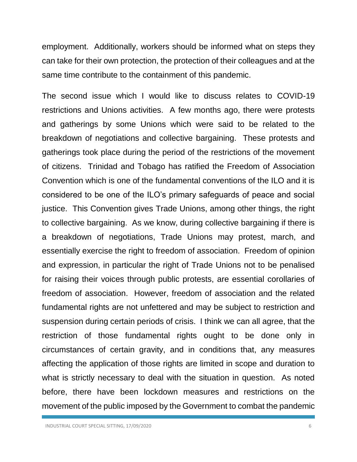employment. Additionally, workers should be informed what on steps they can take for their own protection, the protection of their colleagues and at the same time contribute to the containment of this pandemic.

The second issue which I would like to discuss relates to COVID-19 restrictions and Unions activities. A few months ago, there were protests and gatherings by some Unions which were said to be related to the breakdown of negotiations and collective bargaining. These protests and gatherings took place during the period of the restrictions of the movement of citizens. Trinidad and Tobago has ratified the Freedom of Association Convention which is one of the fundamental conventions of the ILO and it is considered to be one of the ILO's primary safeguards of peace and social justice. This Convention gives Trade Unions, among other things, the right to collective bargaining. As we know, during collective bargaining if there is a breakdown of negotiations, Trade Unions may protest, march, and essentially exercise the right to freedom of association. Freedom of opinion and expression, in particular the right of Trade Unions not to be penalised for raising their voices through public protests, are essential corollaries of freedom of association. However, freedom of association and the related fundamental rights are not unfettered and may be subject to restriction and suspension during certain periods of crisis. I think we can all agree, that the restriction of those fundamental rights ought to be done only in circumstances of certain gravity, and in conditions that, any measures affecting the application of those rights are limited in scope and duration to what is strictly necessary to deal with the situation in question. As noted before, there have been lockdown measures and restrictions on the movement of the public imposed by the Government to combat the pandemic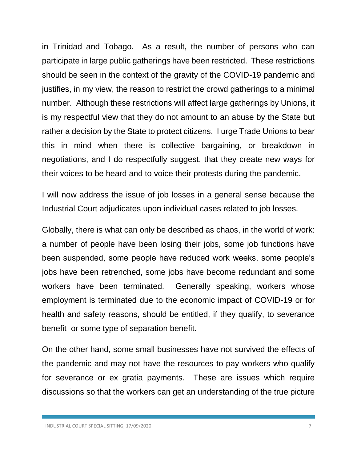in Trinidad and Tobago. As a result, the number of persons who can participate in large public gatherings have been restricted. These restrictions should be seen in the context of the gravity of the COVID-19 pandemic and justifies, in my view, the reason to restrict the crowd gatherings to a minimal number. Although these restrictions will affect large gatherings by Unions, it is my respectful view that they do not amount to an abuse by the State but rather a decision by the State to protect citizens. I urge Trade Unions to bear this in mind when there is collective bargaining, or breakdown in negotiations, and I do respectfully suggest, that they create new ways for their voices to be heard and to voice their protests during the pandemic.

I will now address the issue of job losses in a general sense because the Industrial Court adjudicates upon individual cases related to job losses.

Globally, there is what can only be described as chaos, in the world of work: a number of people have been losing their jobs, some job functions have been suspended, some people have reduced work weeks, some people's jobs have been retrenched, some jobs have become redundant and some workers have been terminated. Generally speaking, workers whose employment is terminated due to the economic impact of COVID-19 or for health and safety reasons, should be entitled, if they qualify, to severance benefit or some type of separation benefit.

On the other hand, some small businesses have not survived the effects of the pandemic and may not have the resources to pay workers who qualify for severance or ex gratia payments. These are issues which require discussions so that the workers can get an understanding of the true picture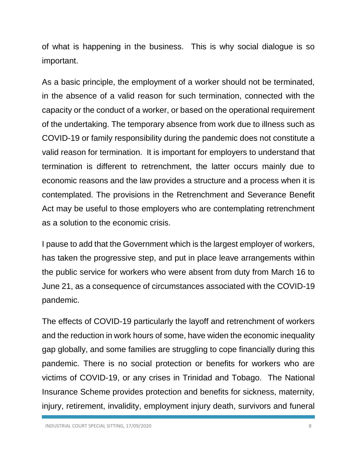of what is happening in the business. This is why social dialogue is so important.

As a basic principle, the employment of a worker should not be terminated, in the absence of a valid reason for such termination, connected with the capacity or the conduct of a worker, or based on the operational requirement of the undertaking. The temporary absence from work due to illness such as COVID-19 or family responsibility during the pandemic does not constitute a valid reason for termination. It is important for employers to understand that termination is different to retrenchment, the latter occurs mainly due to economic reasons and the law provides a structure and a process when it is contemplated. The provisions in the Retrenchment and Severance Benefit Act may be useful to those employers who are contemplating retrenchment as a solution to the economic crisis.

I pause to add that the Government which is the largest employer of workers, has taken the progressive step, and put in place leave arrangements within the public service for workers who were absent from duty from March 16 to June 21, as a consequence of circumstances associated with the COVID-19 pandemic.

The effects of COVID-19 particularly the layoff and retrenchment of workers and the reduction in work hours of some, have widen the economic inequality gap globally, and some families are struggling to cope financially during this pandemic. There is no social protection or benefits for workers who are victims of COVID-19, or any crises in Trinidad and Tobago. The National Insurance Scheme provides protection and benefits for sickness, maternity, injury, retirement, invalidity, employment injury death, survivors and funeral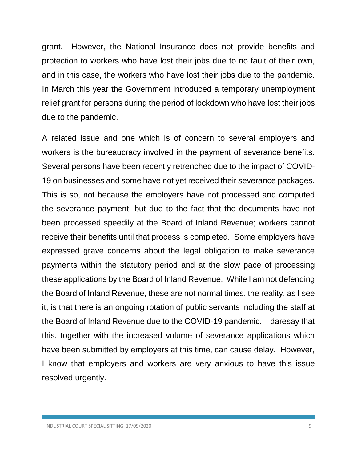grant. However, the National Insurance does not provide benefits and protection to workers who have lost their jobs due to no fault of their own, and in this case, the workers who have lost their jobs due to the pandemic. In March this year the Government introduced a temporary unemployment relief grant for persons during the period of lockdown who have lost their jobs due to the pandemic.

A related issue and one which is of concern to several employers and workers is the bureaucracy involved in the payment of severance benefits. Several persons have been recently retrenched due to the impact of COVID-19 on businesses and some have not yet received their severance packages. This is so, not because the employers have not processed and computed the severance payment, but due to the fact that the documents have not been processed speedily at the Board of Inland Revenue; workers cannot receive their benefits until that process is completed. Some employers have expressed grave concerns about the legal obligation to make severance payments within the statutory period and at the slow pace of processing these applications by the Board of Inland Revenue. While I am not defending the Board of Inland Revenue, these are not normal times, the reality, as I see it, is that there is an ongoing rotation of public servants including the staff at the Board of Inland Revenue due to the COVID-19 pandemic. I daresay that this, together with the increased volume of severance applications which have been submitted by employers at this time, can cause delay. However, I know that employers and workers are very anxious to have this issue resolved urgently.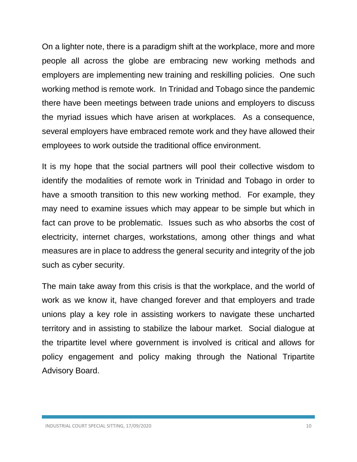On a lighter note, there is a paradigm shift at the workplace, more and more people all across the globe are embracing new working methods and employers are implementing new training and reskilling policies. One such working method is remote work. In Trinidad and Tobago since the pandemic there have been meetings between trade unions and employers to discuss the myriad issues which have arisen at workplaces. As a consequence, several employers have embraced remote work and they have allowed their employees to work outside the traditional office environment.

It is my hope that the social partners will pool their collective wisdom to identify the modalities of remote work in Trinidad and Tobago in order to have a smooth transition to this new working method. For example, they may need to examine issues which may appear to be simple but which in fact can prove to be problematic. Issues such as who absorbs the cost of electricity, internet charges, workstations, among other things and what measures are in place to address the general security and integrity of the job such as cyber security.

The main take away from this crisis is that the workplace, and the world of work as we know it, have changed forever and that employers and trade unions play a key role in assisting workers to navigate these uncharted territory and in assisting to stabilize the labour market. Social dialogue at the tripartite level where government is involved is critical and allows for policy engagement and policy making through the National Tripartite Advisory Board.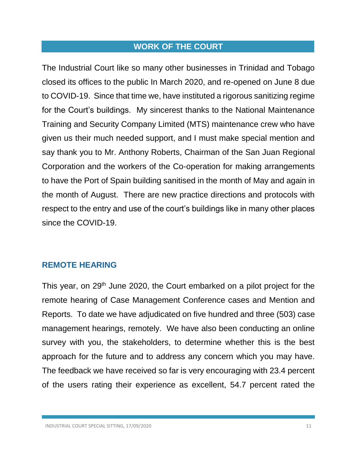### **WORK OF THE COURT**

The Industrial Court like so many other businesses in Trinidad and Tobago closed its offices to the public In March 2020, and re-opened on June 8 due to COVID-19. Since that time we, have instituted a rigorous sanitizing regime for the Court's buildings. My sincerest thanks to the National Maintenance Training and Security Company Limited (MTS) maintenance crew who have given us their much needed support, and I must make special mention and say thank you to Mr. Anthony Roberts, Chairman of the San Juan Regional Corporation and the workers of the Co-operation for making arrangements to have the Port of Spain building sanitised in the month of May and again in the month of August. There are new practice directions and protocols with respect to the entry and use of the court's buildings like in many other places since the COVID-19.

### **REMOTE HEARING**

This year, on 29<sup>th</sup> June 2020, the Court embarked on a pilot project for the remote hearing of Case Management Conference cases and Mention and Reports. To date we have adjudicated on five hundred and three (503) case management hearings, remotely. We have also been conducting an online survey with you, the stakeholders, to determine whether this is the best approach for the future and to address any concern which you may have. The feedback we have received so far is very encouraging with 23.4 percent of the users rating their experience as excellent, 54.7 percent rated the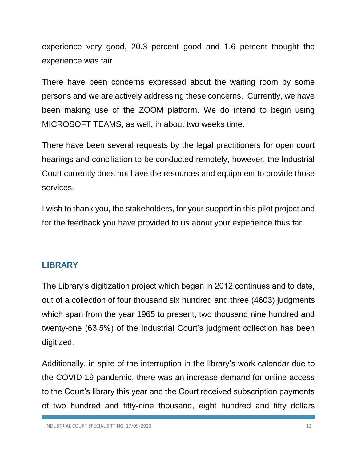experience very good, 20.3 percent good and 1.6 percent thought the experience was fair.

There have been concerns expressed about the waiting room by some persons and we are actively addressing these concerns. Currently, we have been making use of the ZOOM platform. We do intend to begin using MICROSOFT TEAMS, as well, in about two weeks time.

There have been several requests by the legal practitioners for open court hearings and conciliation to be conducted remotely, however, the Industrial Court currently does not have the resources and equipment to provide those services.

I wish to thank you, the stakeholders, for your support in this pilot project and for the feedback you have provided to us about your experience thus far.

## **LIBRARY**

The Library's digitization project which began in 2012 continues and to date, out of a collection of four thousand six hundred and three (4603) judgments which span from the year 1965 to present, two thousand nine hundred and twenty-one (63.5%) of the Industrial Court's judgment collection has been digitized.

Additionally, in spite of the interruption in the library's work calendar due to the COVID-19 pandemic, there was an increase demand for online access to the Court's library this year and the Court received subscription payments of two hundred and fifty-nine thousand, eight hundred and fifty dollars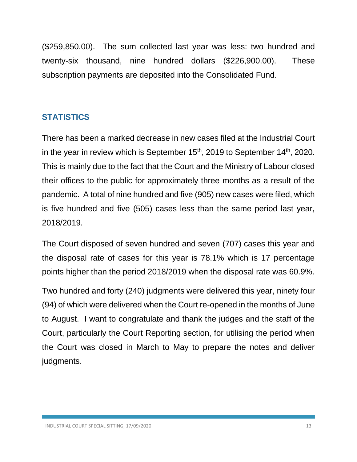(\$259,850.00). The sum collected last year was less: two hundred and twenty-six thousand, nine hundred dollars (\$226,900.00). These subscription payments are deposited into the Consolidated Fund.

# **STATISTICS**

There has been a marked decrease in new cases filed at the Industrial Court in the year in review which is September  $15<sup>th</sup>$ , 2019 to September  $14<sup>th</sup>$ , 2020. This is mainly due to the fact that the Court and the Ministry of Labour closed their offices to the public for approximately three months as a result of the pandemic. A total of nine hundred and five (905) new cases were filed, which is five hundred and five (505) cases less than the same period last year, 2018/2019.

The Court disposed of seven hundred and seven (707) cases this year and the disposal rate of cases for this year is 78.1% which is 17 percentage points higher than the period 2018/2019 when the disposal rate was 60.9%.

Two hundred and forty (240) judgments were delivered this year, ninety four (94) of which were delivered when the Court re-opened in the months of June to August. I want to congratulate and thank the judges and the staff of the Court, particularly the Court Reporting section, for utilising the period when the Court was closed in March to May to prepare the notes and deliver judgments.